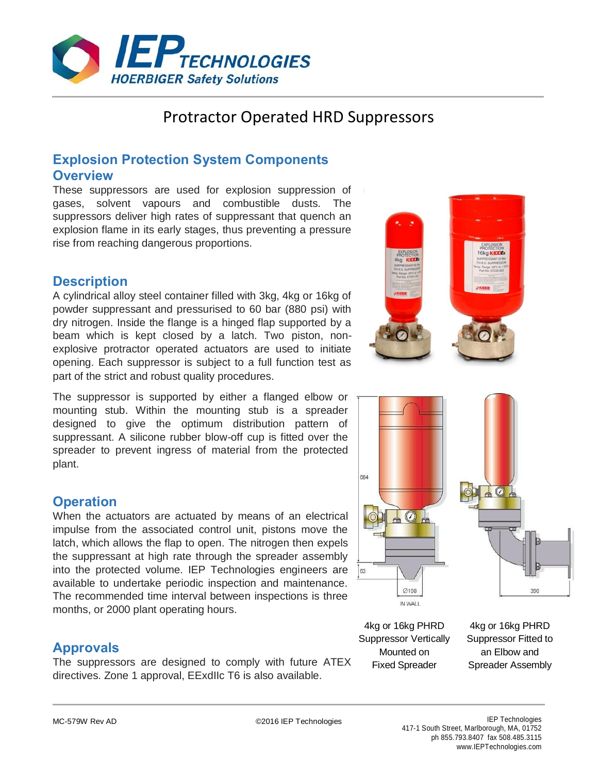

# Protractor Operated HRD Suppressors

## **Explosion Protection System Components Overview**

These suppressors are used for explosion suppression of gases, solvent vapours and combustible dusts. The suppressors deliver high rates of suppressant that quench an explosion flame in its early stages, thus preventing a pressure rise from reaching dangerous proportions.

## **Description**

A cylindrical alloy steel container filled with 3kg, 4kg or 16kg of powder suppressant and pressurised to 60 bar (880 psi) with dry nitrogen. Inside the flange is a hinged flap supported by a beam which is kept closed by a latch. Two piston, nonexplosive protractor operated actuators are used to initiate opening. Each suppressor is subject to a full function test as part of the strict and robust quality procedures.

The suppressor is supported by either a flanged elbow or mounting stub. Within the mounting stub is a spreader designed to give the optimum distribution pattern of suppressant. A silicone rubber blow-off cup is fitted over the spreader to prevent ingress of material from the protected plant.

## **Operation**

When the actuators are actuated by means of an electrical impulse from the associated control unit, pistons move the latch, which allows the flap to open. The nitrogen then expels the suppressant at high rate through the spreader assembly into the protected volume. IEP Technologies engineers are available to undertake periodic inspection and maintenance. The recommended time interval between inspections is three months, or 2000 plant operating hours.

## **Approvals**

The suppressors are designed to comply with future ATEX directives. Zone 1 approval, EExdIIc T6 is also available.



4kg or 16kg PHRD Suppressor Vertically Mounted on Fixed Spreader

IN WALL

4kg or 16kg PHRD Suppressor Fitted to an Elbow and Spreader Assembly